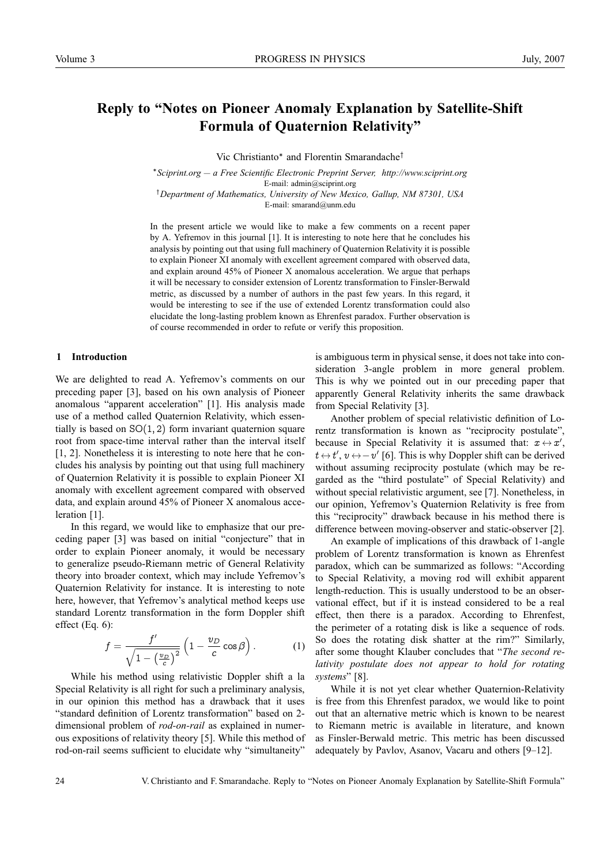# **Reply to "Notes on Pioneer Anomaly Explanation by Satellite-Shift Formula of Quaternion Relativity"**

Vic Christianto∗ and Florentin Smarandache†

<sup>∗</sup>*Sciprint.org — a Free Scientific Electronic Preprint Server, http://www.sciprint.org* E-mail: admin@sciprint.org

† *Department of Mathematics, University of New Mexico, Gallup, NM 87301, USA* E-mail: smarand@unm.edu

In the present article we would like to make a few comments on a recent paper by A. Yefremov in this journal [1]. It is interesting to note here that he concludes his analysis by pointing out that using full machinery of Quaternion Relativity it is possible to explain Pioneer XI anomaly with excellent agreement compared with observed data, and explain around 45% of Pioneer X anomalous acceleration. We argue that perhaps it will be necessary to consider extension of Lorentz transformation to Finsler-Berwald metric, as discussed by a number of authors in the past few years. In this regard, it would be interesting to see if the use of extended Lorentz transformation could also elucidate the long-lasting problem known as Ehrenfest paradox. Further observation is of course recommended in order to refute or verify this proposition.

#### **1 Introduction**

We are delighted to read A. Yefremov's comments on our preceding paper [3], based on his own analysis of Pioneer anomalous "apparent acceleration" [1]. His analysis made use of a method called Quaternion Relativity, which essentially is based on  $SO(1, 2)$  form invariant quaternion square root from space-time interval rather than the interval itself [1, 2]. Nonetheless it is interesting to note here that he concludes his analysis by pointing out that using full machinery of Quaternion Relativity it is possible to explain Pioneer XI anomaly with excellent agreement compared with observed data, and explain around 45% of Pioneer X anomalous acceleration [1].

In this regard, we would like to emphasize that our preceding paper [3] was based on initial "conjecture" that in order to explain Pioneer anomaly, it would be necessary to generalize pseudo-Riemann metric of General Relativity theory into broader context, which may include Yefremov's Quaternion Relativity for instance. It is interesting to note here, however, that Yefremov's analytical method keeps use standard Lorentz transformation in the form Doppler shift effect (Eq. 6):

$$
f = \frac{f'}{\sqrt{1 - \left(\frac{v_D}{c}\right)^2}} \left(1 - \frac{v_D}{c}\cos\beta\right). \tag{1}
$$

While his method using relativistic Doppler shift a la Special Relativity is all right for such a preliminary analysis, in our opinion this method has a drawback that it uses "standard definition of Lorentz transformation" based on 2 dimensional problem of *rod-on-rail* as explained in numerous expositions of relativity theory [5]. While this method of rod-on-rail seems sufficient to elucidate why "simultaneity"

is ambiguous term in physical sense, it does not take into consideration 3-angle problem in more general problem. This is why we pointed out in our preceding paper that apparently General Relativity inherits the same drawback from Special Relativity [3].

Another problem of special relativistic definition of Lorentz transformation is known as "reciprocity postulate", because in Special Relativity it is assumed that:  $x \leftrightarrow x'$ ,  $t \leftrightarrow t', v \leftrightarrow -v'$  [6]. This is why Doppler shift can be derived without assuming reciprocity postulate (which may be regarded as the "third postulate" of Special Relativity) and without special relativistic argument, see [7]. Nonetheless, in our opinion, Yefremov's Quaternion Relativity is free from this "reciprocity" drawback because in his method there is difference between moving-observer and static-observer [2].

An example of implications of this drawback of 1-angle problem of Lorentz transformation is known as Ehrenfest paradox, which can be summarized as follows: "According to Special Relativity, a moving rod will exhibit apparent length-reduction. This is usually understood to be an observational effect, but if it is instead considered to be a real effect, then there is a paradox. According to Ehrenfest, the perimeter of a rotating disk is like a sequence of rods. So does the rotating disk shatter at the rim?" Similarly, after some thought Klauber concludes that "*The second relativity postulate does not appear to hold for rotating systems*" [8].

While it is not yet clear whether Quaternion-Relativity is free from this Ehrenfest paradox, we would like to point out that an alternative metric which is known to be nearest to Riemann metric is available in literature, and known as Finsler-Berwald metric. This metric has been discussed adequately by Pavlov, Asanov, Vacaru and others [9–12].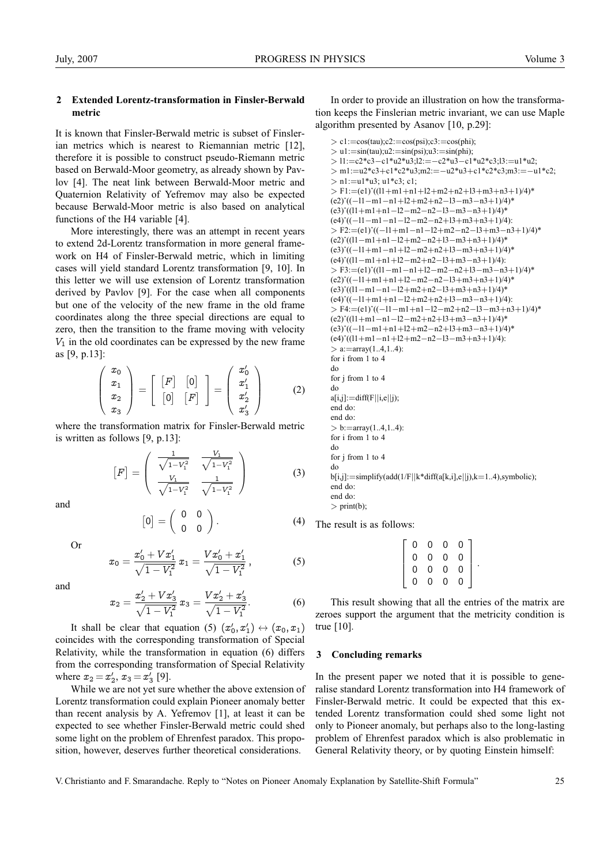### **2 Extended Lorentz-transformation in Finsler-Berwald metric**

It is known that Finsler-Berwald metric is subset of Finslerian metrics which is nearest to Riemannian metric [12], therefore it is possible to construct pseudo-Riemann metric based on Berwald-Moor geometry, as already shown by Pavlov [4]. The neat link between Berwald-Moor metric and Quaternion Relativity of Yefremov may also be expected because Berwald-Moor metric is also based on analytical functions of the H4 variable [4].

More interestingly, there was an attempt in recent years to extend 2d-Lorentz transformation in more general framework on H4 of Finsler-Berwald metric, which in limiting cases will yield standard Lorentz transformation [9, 10]. In this letter we will use extension of Lorentz transformation derived by Pavlov [9]. For the case when all components but one of the velocity of the new frame in the old frame coordinates along the three special directions are equal to zero, then the transition to the frame moving with velocity  $V_1$  in the old coordinates can be expressed by the new frame as [9, p.13]:

$$
\left(\begin{array}{c}x_0\\x_1\\x_2\\x_3\end{array}\right)=\left[\begin{array}{cc} \begin{bmatrix}F\end{bmatrix}&\begin{bmatrix}0\end{bmatrix}\\ \begin{bmatrix}0\end{bmatrix}&\begin{bmatrix}F\end{bmatrix}\end{array}\right]=\left(\begin{array}{c}x'_0\\x'_1\\x'_2\\x'_3\end{array}\right) \hspace{1cm}(2)
$$

where the transformation matrix for Finsler-Berwald metric is written as follows [9, p.13]:

$$
\begin{bmatrix} F \end{bmatrix} = \begin{pmatrix} \frac{1}{\sqrt{1-V_1^2}} & \frac{V_1}{\sqrt{1-V_1^2}} \\ \frac{V_1}{\sqrt{1-V_1^2}} & \frac{1}{\sqrt{1-V_1^2}} \end{pmatrix}
$$
(3)

and

$$
[0]=\left(\begin{array}{cc} 0 & 0 \\ 0 & 0 \end{array}\right).
$$

Or

$$
x_0 = \frac{x'_0 + Vx'_1}{\sqrt{1 - V_1^2}} x_1 = \frac{Vx'_0 + x'_1}{\sqrt{1 - V_1^2}}, \tag{5}
$$

and

$$
x_2 = \frac{x'_2 + Vx'_3}{\sqrt{1 - V_1^2}} x_3 = \frac{Vx'_2 + x'_3}{\sqrt{1 - V_1^2}}.
$$
 (6)

It shall be clear that equation (5)  $(x'_0, x'_1) \leftrightarrow (x_0, x_1)$ coincides with the corresponding transformation of Special Relativity, while the transformation in equation (6) differs from the corresponding transformation of Special Relativity where  $x_2 = x'_2, x_3 = x'_3$  [9].

While we are not yet sure whether the above extension of Lorentz transformation could explain Pioneer anomaly better than recent analysis by A. Yefremov [1], at least it can be expected to see whether Finsler-Berwald metric could shed some light on the problem of Ehrenfest paradox. This proposition, however, deserves further theoretical considerations.

In order to provide an illustration on how the transformation keeps the Finslerian metric invariant, we can use Maple algorithm presented by Asanov [10, p.29]:

```
> c1:=cos(tau); c2:=cos(psi); c3:=cos(phi);>u1:=sin(tau);u2:=sin(psi);u3:=sin(phi);
> l1:=c2*c3−c1*u2*u3;l2:=−c2*u3−c1*u2*c3;l3:=u1*u2;
> m1:=u2*c3+c1*c2*u3;m2:=−u2*u3+c1*c2*c3;m3:=−u1*c2;
> n! := u1 * u3; u1 * c3; c1;
```

```
> F1:=(e1)^((l1+m1+n1+l2+m2+n2+l3+m3+n3+1)/4)*
(e2)ˆ((−l1−m1−n1+l2+m2+n2−l3−m3−n3+1)/4)*
(e3)ˆ((l1+m1+n1−l2−m2−n2−l3−m3−n3+1)/4)*
(e4)ˆ((−l1−m1−n1−l2−m2−n2+l3+m3+n3+1)/4):
> F2:=(e1)ˆ((−l1+m1−n1−l2+m2−n2−l3+m3−n3+1)/4)*
(e2)ˆ((l1−m1+n1−l2+m2−n2+l3−m3+n3+1)/4)*
(e3)ˆ((−l1+m1−n1+l2−m2+n2+l3−m3+n3+1)/4)*
(e4)ˆ((l1−m1+n1+l2−m2+n2−l3+m3−n3+1)/4):
> F3:=(e1)ˆ((l1−m1−n1+l2−m2−n2+l3−m3−n3+1)/4)*
(e2)ˆ((−l1+m1+n1+l2−m2−n2−l3+m3+n3+1)/4)*
(e3)ˆ((l1−m1−n1−l2+m2+n2−l3+m3+n3+1)/4)*
(e4)ˆ((−l1+m1+n1−l2+m2+n2+l3−m3−n3+1)/4):
> F4:=(e1)ˆ((−l1−m1+n1−l2−m2+n2−l3−m3+n3+1)/4)*
(e2)ˆ((l1+m1−n1−l2−m2+n2+l3+m3−n3+1)/4)*
(e3)ˆ((−l1−m1+n1+l2+m2−n2+l3+m3−n3+1)/4)*
(e4)ˆ((l1+m1−n1+l2+m2−n2−l3−m3+n3+1)/4):
> a:=array(1..4,1..4):for i from 1 to 4
do
for j from 1 to 4
do
a[i,j]:=diff(F||i,e||j);
end do:
end do:
> b:=\arctan(1..4,1..4):
for i from 1 to 4
do
for j from 1 to 4
do
b[i,j]:=simplify(add(1/F||k*diff(a[k,i],e||j),k=1..4),symbolic);
end do:
```
end do:

 $(4)$ 

```
> print(b);
```
The result is as follows:

| $\overline{0}$ | 0              | 0              | 0 |  |
|----------------|----------------|----------------|---|--|
| $\overline{0}$ | $\overline{0}$ | $\overline{0}$ | 0 |  |
| $\overline{0}$ | $\overline{0}$ | $\overline{0}$ | 0 |  |
| 0              | 0.             | 0              | Ω |  |

This result showing that all the entries of the matrix are zeroes support the argument that the metricity condition is true [10].

#### **3 Concluding remarks**

In the present paper we noted that it is possible to generalise standard Lorentz transformation into H4 framework of Finsler-Berwald metric. It could be expected that this extended Lorentz transformation could shed some light not only to Pioneer anomaly, but perhaps also to the long-lasting problem of Ehrenfest paradox which is also problematic in General Relativity theory, or by quoting Einstein himself:

V. Christianto and F. Smarandache. Reply to "Notes on Pioneer Anomaly Explanation by Satellite-Shift Formula" 25